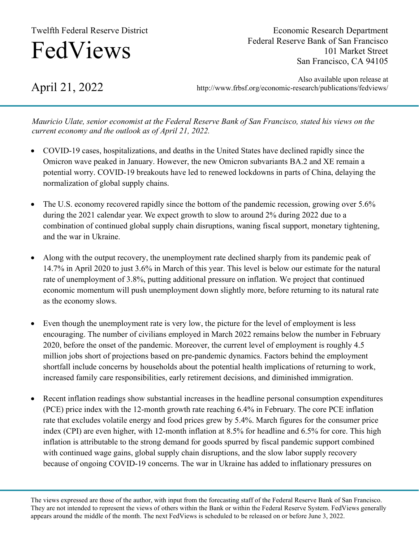## Twelfth Federal Reserve District

# FedViews

Economic Research Department Federal Reserve Bank of San Francisco 101 Market Street San Francisco, CA 94105

April 21, 2022

Also available upon release at http://www.frbsf.org/economic-research/publications/fedviews/

*Mauricio Ulate, senior economist at the Federal Reserve Bank of San Francisco, stated his views on the current economy and the outlook as of April 21, 2022.*

- COVID-19 cases, hospitalizations, and deaths in the United States have declined rapidly since the Omicron wave peaked in January. However, the new Omicron subvariants BA.2 and XE remain a potential worry. COVID-19 breakouts have led to renewed lockdowns in parts of China, delaying the normalization of global supply chains.
- The U.S. economy recovered rapidly since the bottom of the pandemic recession, growing over 5.6% during the 2021 calendar year. We expect growth to slow to around 2% during 2022 due to a combination of continued global supply chain disruptions, waning fiscal support, monetary tightening, and the war in Ukraine.
- Along with the output recovery, the unemployment rate declined sharply from its pandemic peak of 14.7% in April 2020 to just 3.6% in March of this year. This level is below our estimate for the natural rate of unemployment of 3.8%, putting additional pressure on inflation. We project that continued economic momentum will push unemployment down slightly more, before returning to its natural rate as the economy slows.
- Even though the unemployment rate is very low, the picture for the level of employment is less encouraging. The number of civilians employed in March 2022 remains below the number in February 2020, before the onset of the pandemic. Moreover, the current level of employment is roughly 4.5 million jobs short of projections based on pre-pandemic dynamics. Factors behind the employment shortfall include concerns by households about the potential health implications of returning to work, increased family care responsibilities, early retirement decisions, and diminished immigration.
- Recent inflation readings show substantial increases in the headline personal consumption expenditures (PCE) price index with the 12-month growth rate reaching 6.4% in February. The core PCE inflation rate that excludes volatile energy and food prices grew by 5.4%. March figures for the consumer price index (CPI) are even higher, with 12-month inflation at 8.5% for headline and 6.5% for core. This high inflation is attributable to the strong demand for goods spurred by fiscal pandemic support combined with continued wage gains, global supply chain disruptions, and the slow labor supply recovery because of ongoing COVID-19 concerns. The war in Ukraine has added to inflationary pressures on

The views expressed are those of the author, with input from the forecasting staff of the Federal Reserve Bank of San Francisco. They are not intended to represent the views of others within the Bank or within the Federal Reserve System. FedViews generally appears around the middle of the month. The next FedViews is scheduled to be released on or before June 3, 2022.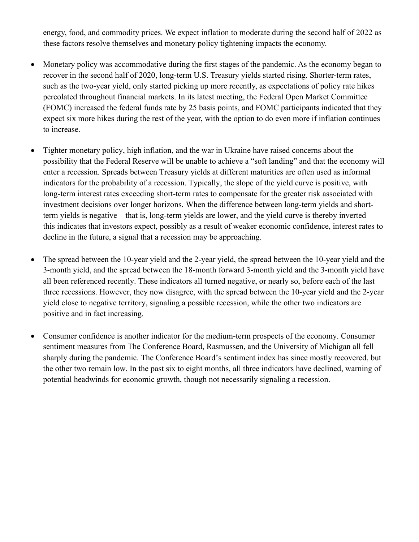energy, food, and commodity prices. We expect inflation to moderate during the second half of 2022 as these factors resolve themselves and monetary policy tightening impacts the economy.

- Monetary policy was accommodative during the first stages of the pandemic. As the economy began to recover in the second half of 2020, long-term U.S. Treasury yields started rising. Shorter-term rates, such as the two-year yield, only started picking up more recently, as expectations of policy rate hikes percolated throughout financial markets. In its latest meeting, the Federal Open Market Committee (FOMC) increased the federal funds rate by 25 basis points, and FOMC participants indicated that they expect six more hikes during the rest of the year, with the option to do even more if inflation continues to increase.
- Tighter monetary policy, high inflation, and the war in Ukraine have raised concerns about the possibility that the Federal Reserve will be unable to achieve a "soft landing" and that the economy will enter a recession. Spreads between Treasury yields at different maturities are often used as informal indicators for the probability of a recession. Typically, the slope of the yield curve is positive, with long-term interest rates exceeding short-term rates to compensate for the greater risk associated with investment decisions over longer horizons. When the difference between long-term yields and shortterm yields is negative—that is, long-term yields are lower, and the yield curve is thereby inverted this indicates that investors expect, possibly as a result of weaker economic confidence, interest rates to decline in the future, a signal that a recession may be approaching.
- The spread between the 10-year yield and the 2-year yield, the spread between the 10-year yield and the 3-month yield, and the spread between the 18-month forward 3-month yield and the 3-month yield have all been referenced recently. These indicators all turned negative, or nearly so, before each of the last three recessions. However, they now disagree, with the spread between the 10-year yield and the 2-year yield close to negative territory, signaling a possible recession, while the other two indicators are positive and in fact increasing.
- Consumer confidence is another indicator for the medium-term prospects of the economy. Consumer sentiment measures from The Conference Board, Rasmussen, and the University of Michigan all fell sharply during the pandemic. The Conference Board's sentiment index has since mostly recovered, but the other two remain low. In the past six to eight months, all three indicators have declined, warning of potential headwinds for economic growth, though not necessarily signaling a recession.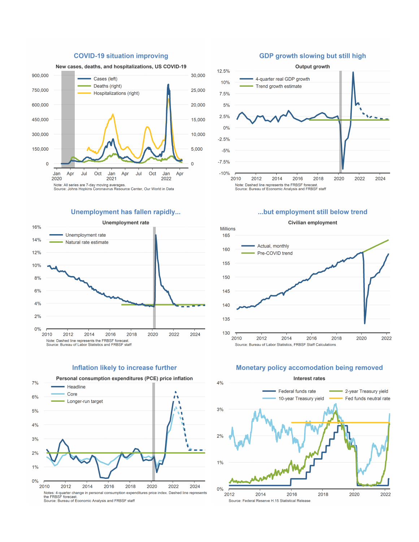

#### **COVID-19 situation improving**

#### Unemployment has fallen rapidly...



#### Inflation likely to increase further



#### **GDP growth slowing but still high**



#### ...but employment still below trend



#### Monetary policy accomodation being removed



### Civilian employment